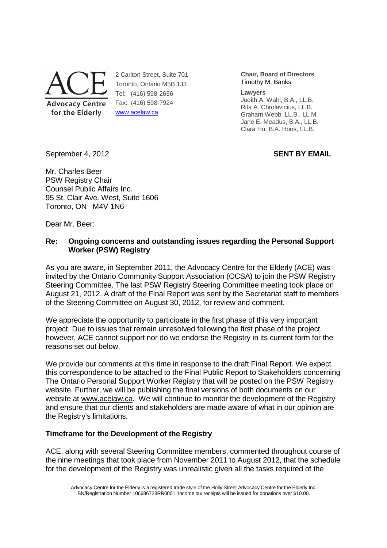

2 Carlton Street, Suite 701 Toronto, Ontario M5B 1J3 Tel: (416) 598-2656 Fax: (416) 598-7924 www.acelaw.ca

**Chair, Board of Directors** Timothy M. Banks

**Lawyers** 

Judith A. Wahl, B.A., LL.B. Rita A. Chrolavicius, LL.B. Graham Webb, LL.B., LL.M. Jane E. Meadus, B.A., LL.B. Clara Ho, B.A. Hons, LL.B.

September 4, 2012 **SENT BY EMAIL** 

Mr. Charles Beer PSW Registry Chair Counsel Public Affairs Inc. 95 St. Clair Ave. West, Suite 1606 Toronto, ON M4V 1N6

Dear Mr. Beer:

# **Re: Ongoing concerns and outstanding issues regarding the Personal Support Worker (PSW) Registry**

As you are aware, in September 2011, the Advocacy Centre for the Elderly (ACE) was invited by the Ontario Community Support Association (OCSA) to join the PSW Registry Steering Committee. The last PSW Registry Steering Committee meeting took place on August 21, 2012. A draft of the Final Report was sent by the Secretariat staff to members of the Steering Committee on August 30, 2012, for review and comment.

We appreciate the opportunity to participate in the first phase of this very important project. Due to issues that remain unresolved following the first phase of the project, however, ACE cannot support nor do we endorse the Registry in its current form for the reasons set out below.

We provide our comments at this time in response to the draft Final Report. We expect this correspondence to be attached to the Final Public Report to Stakeholders concerning The Ontario Personal Support Worker Registry that will be posted on the PSW Registry website. Further, we will be publishing the final versions of both documents on our website at www.acelaw.ca. We will continue to monitor the development of the Registry and ensure that our clients and stakeholders are made aware of what in our opinion are the Registry's limitations.

# **Timeframe for the Development of the Registry**

ACE, along with several Steering Committee members, commented throughout course of the nine meetings that took place from November 2011 to August 2012, that the schedule for the development of the Registry was unrealistic given all the tasks required of the

Advocacy Centre for the Elderly is a registered trade style of the Holly Street Advocacy Centre for the Elderly Inc. BN/Registration Number 106686728RR0001. Income tax receipts will be issued for donations over \$10.00.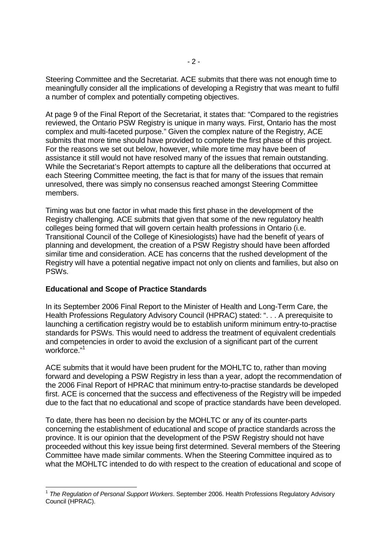Steering Committee and the Secretariat. ACE submits that there was not enough time to meaningfully consider all the implications of developing a Registry that was meant to fulfil a number of complex and potentially competing objectives.

At page 9 of the Final Report of the Secretariat, it states that: "Compared to the registries reviewed, the Ontario PSW Registry is unique in many ways. First, Ontario has the most complex and multi-faceted purpose." Given the complex nature of the Registry, ACE submits that more time should have provided to complete the first phase of this project. For the reasons we set out below, however, while more time may have been of assistance it still would not have resolved many of the issues that remain outstanding. While the Secretariat's Report attempts to capture all the deliberations that occurred at each Steering Committee meeting, the fact is that for many of the issues that remain unresolved, there was simply no consensus reached amongst Steering Committee members.

Timing was but one factor in what made this first phase in the development of the Registry challenging. ACE submits that given that some of the new regulatory health colleges being formed that will govern certain health professions in Ontario (i.e. Transitional Council of the College of Kinesiologists) have had the benefit of years of planning and development, the creation of a PSW Registry should have been afforded similar time and consideration. ACE has concerns that the rushed development of the Registry will have a potential negative impact not only on clients and families, but also on PSWs.

## **Educational and Scope of Practice Standards**

-

In its September 2006 Final Report to the Minister of Health and Long-Term Care, the Health Professions Regulatory Advisory Council (HPRAC) stated: ". . . A prerequisite to launching a certification registry would be to establish uniform minimum entry-to-practise standards for PSWs. This would need to address the treatment of equivalent credentials and competencies in order to avoid the exclusion of a significant part of the current workforce."<sup>1</sup>

ACE submits that it would have been prudent for the MOHLTC to, rather than moving forward and developing a PSW Registry in less than a year, adopt the recommendation of the 2006 Final Report of HPRAC that minimum entry-to-practise standards be developed first. ACE is concerned that the success and effectiveness of the Registry will be impeded due to the fact that no educational and scope of practice standards have been developed.

To date, there has been no decision by the MOHLTC or any of its counter-parts concerning the establishment of educational and scope of practice standards across the province. It is our opinion that the development of the PSW Registry should not have proceeded without this key issue being first determined. Several members of the Steering Committee have made similar comments. When the Steering Committee inquired as to what the MOHLTC intended to do with respect to the creation of educational and scope of

<sup>&</sup>lt;sup>1</sup> The Regulation of Personal Support Workers. September 2006. Health Professions Regulatory Advisory Council (HPRAC).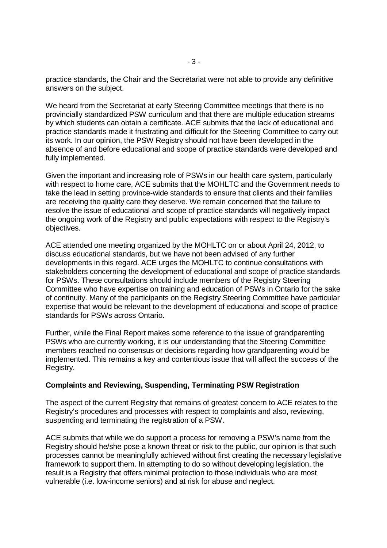practice standards, the Chair and the Secretariat were not able to provide any definitive answers on the subject.

We heard from the Secretariat at early Steering Committee meetings that there is no provincially standardized PSW curriculum and that there are multiple education streams by which students can obtain a certificate. ACE submits that the lack of educational and practice standards made it frustrating and difficult for the Steering Committee to carry out its work. In our opinion, the PSW Registry should not have been developed in the absence of and before educational and scope of practice standards were developed and fully implemented.

Given the important and increasing role of PSWs in our health care system, particularly with respect to home care, ACE submits that the MOHLTC and the Government needs to take the lead in setting province-wide standards to ensure that clients and their families are receiving the quality care they deserve. We remain concerned that the failure to resolve the issue of educational and scope of practice standards will negatively impact the ongoing work of the Registry and public expectations with respect to the Registry's objectives.

ACE attended one meeting organized by the MOHLTC on or about April 24, 2012, to discuss educational standards, but we have not been advised of any further developments in this regard. ACE urges the MOHLTC to continue consultations with stakeholders concerning the development of educational and scope of practice standards for PSWs. These consultations should include members of the Registry Steering Committee who have expertise on training and education of PSWs in Ontario for the sake of continuity. Many of the participants on the Registry Steering Committee have particular expertise that would be relevant to the development of educational and scope of practice standards for PSWs across Ontario.

Further, while the Final Report makes some reference to the issue of grandparenting PSWs who are currently working, it is our understanding that the Steering Committee members reached no consensus or decisions regarding how grandparenting would be implemented. This remains a key and contentious issue that will affect the success of the Registry.

## **Complaints and Reviewing, Suspending, Terminating PSW Registration**

The aspect of the current Registry that remains of greatest concern to ACE relates to the Registry's procedures and processes with respect to complaints and also, reviewing, suspending and terminating the registration of a PSW.

ACE submits that while we do support a process for removing a PSW's name from the Registry should he/she pose a known threat or risk to the public, our opinion is that such processes cannot be meaningfully achieved without first creating the necessary legislative framework to support them. In attempting to do so without developing legislation, the result is a Registry that offers minimal protection to those individuals who are most vulnerable (i.e. low-income seniors) and at risk for abuse and neglect.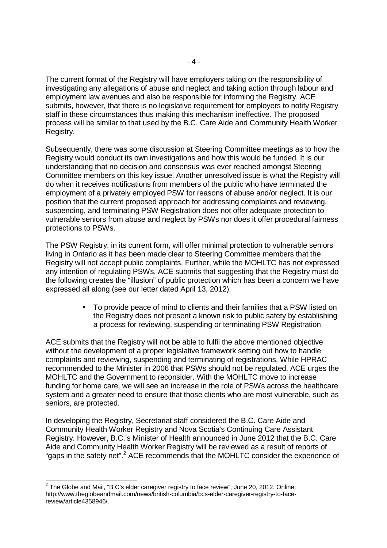The current format of the Registry will have employers taking on the responsibility of investigating any allegations of abuse and neglect and taking action through labour and employment law avenues and also be responsible for informing the Registry. ACE submits, however, that there is no legislative requirement for employers to notify Registry staff in these circumstances thus making this mechanism ineffective. The proposed process will be similar to that used by the B.C. Care Aide and Community Health Worker Registry.

Subsequently, there was some discussion at Steering Committee meetings as to how the Registry would conduct its own investigations and how this would be funded. It is our understanding that no decision and consensus was ever reached amongst Steering Committee members on this key issue. Another unresolved issue is what the Registry will do when it receives notifications from members of the public who have terminated the employment of a privately employed PSW for reasons of abuse and/or neglect. It is our position that the current proposed approach for addressing complaints and reviewing, suspending, and terminating PSW Registration does not offer adequate protection to vulnerable seniors from abuse and neglect by PSWs nor does it offer procedural fairness protections to PSWs.

The PSW Registry, in its current form, will offer minimal protection to vulnerable seniors living in Ontario as it has been made clear to Steering Committee members that the Registry will not accept public complaints. Further, while the MOHLTC has not expressed any intention of regulating PSWs, ACE submits that suggesting that the Registry must do the following creates the "illusion" of public protection which has been a concern we have expressed all along (see our letter dated April 13, 2012):

> • To provide peace of mind to clients and their families that a PSW listed on the Registry does not present a known risk to public safety by establishing a process for reviewing, suspending or terminating PSW Registration

ACE submits that the Registry will not be able to fulfil the above mentioned objective without the development of a proper legislative framework setting out how to handle complaints and reviewing, suspending and terminating of registrations. While HPRAC recommended to the Minister in 2006 that PSWs should not be regulated, ACE urges the MOHLTC and the Government to reconsider. With the MOHLTC move to increase funding for home care, we will see an increase in the role of PSWs across the healthcare system and a greater need to ensure that those clients who are most vulnerable, such as seniors, are protected.

In developing the Registry, Secretariat staff considered the B.C. Care Aide and Community Health Worker Registry and Nova Scotia's Continuing Care Assistant Registry. However, B.C.'s Minister of Health announced in June 2012 that the B.C. Care Aide and Community Health Worker Registry will be reviewed as a result of reports of "gaps in the safety net".<sup>2</sup> ACE recommends that the MOHLTC consider the experience of

-

 $2$  The Globe and Mail, "B.C's elder caregiver registry to face review", June 20, 2012. Online: http://www.theglobeandmail.com/news/british-columbia/bcs-elder-caregiver-registry-to-facereview/article4358946/.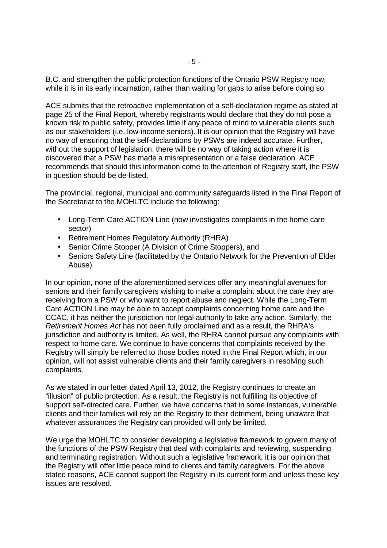B.C. and strengthen the public protection functions of the Ontario PSW Registry now, while it is in its early incarnation, rather than waiting for gaps to arise before doing so.

ACE submits that the retroactive implementation of a self-declaration regime as stated at page 25 of the Final Report, whereby registrants would declare that they do not pose a known risk to public safety, provides little if any peace of mind to vulnerable clients such as our stakeholders (i.e. low-income seniors). It is our opinion that the Registry will have no way of ensuring that the self-declarations by PSWs are indeed accurate. Further, without the support of legislation, there will be no way of taking action where it is discovered that a PSW has made a misrepresentation or a false declaration. ACE recommends that should this information come to the attention of Registry staff, the PSW in question should be de-listed.

The provincial, regional, municipal and community safeguards listed in the Final Report of the Secretariat to the MOHLTC include the following:

- Long-Term Care ACTION Line (now investigates complaints in the home care sector)
- Retirement Homes Regulatory Authority (RHRA)
- Senior Crime Stopper (A Division of Crime Stoppers), and
- Seniors Safety Line (facilitated by the Ontario Network for the Prevention of Elder Abuse).

In our opinion, none of the aforementioned services offer any meaningful avenues for seniors and their family caregivers wishing to make a complaint about the care they are receiving from a PSW or who want to report abuse and neglect. While the Long-Term Care ACTION Line may be able to accept complaints concerning home care and the CCAC, it has neither the jurisdiction nor legal authority to take any action. Similarly, the Retirement Homes Act has not been fully proclaimed and as a result, the RHRA's jurisdiction and authority is limited. As well, the RHRA cannot pursue any complaints with respect to home care. We continue to have concerns that complaints received by the Registry will simply be referred to those bodies noted in the Final Report which, in our opinion, will not assist vulnerable clients and their family caregivers in resolving such complaints.

As we stated in our letter dated April 13, 2012, the Registry continues to create an "illusion" of public protection. As a result, the Registry is not fulfilling its objective of support self-directed care. Further, we have concerns that in some instances, vulnerable clients and their families will rely on the Registry to their detriment, being unaware that whatever assurances the Registry can provided will only be limited.

We urge the MOHLTC to consider developing a legislative framework to govern many of the functions of the PSW Registry that deal with complaints and reviewing, suspending and terminating registration. Without such a legislative framework, it is our opinion that the Registry will offer little peace mind to clients and family caregivers. For the above stated reasons, ACE cannot support the Registry in its current form and unless these key issues are resolved.